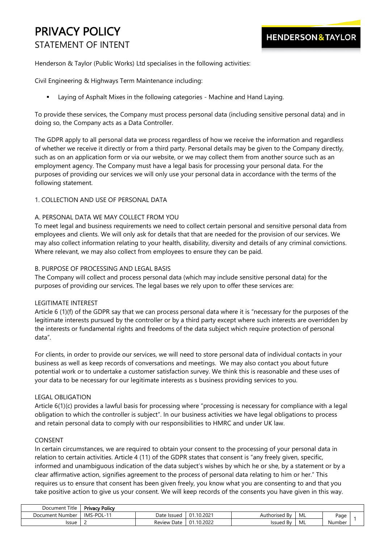# PRIVACY POLICY STATEMENT OF INTENT

Henderson & Taylor (Public Works) Ltd specialises in the following activities:

Civil Engineering & Highways Term Maintenance including:

Laying of Asphalt Mixes in the following categories - Machine and Hand Laying.

To provide these services, the Company must process personal data (including sensitive personal data) and in doing so, the Company acts as a Data Controller.

The GDPR apply to all personal data we process regardless of how we receive the information and regardless of whether we receive it directly or from a third party. Personal details may be given to the Company directly, such as on an application form or via our website, or we may collect them from another source such as an employment agency. The Company must have a legal basis for processing your personal data. For the purposes of providing our services we will only use your personal data in accordance with the terms of the following statement.

## 1. COLLECTION AND USE OF PERSONAL DATA

## A. PERSONAL DATA WE MAY COLLECT FROM YOU

To meet legal and business requirements we need to collect certain personal and sensitive personal data from employees and clients. We will only ask for details that that are needed for the provision of our services. We may also collect information relating to your health, disability, diversity and details of any criminal convictions. Where relevant, we may also collect from employees to ensure they can be paid.

## B. PURPOSE OF PROCESSING AND LEGAL BASIS

The Company will collect and process personal data (which may include sensitive personal data) for the purposes of providing our services. The legal bases we rely upon to offer these services are:

### LEGITIMATE INTEREST

Article 6 (1)(f) of the GDPR say that we can process personal data where it is "necessary for the purposes of the legitimate interests pursued by the controller or by a third party except where such interests are overridden by the interests or fundamental rights and freedoms of the data subject which require protection of personal data".

For clients, in order to provide our services, we will need to store personal data of individual contacts in your business as well as keep records of conversations and meetings. We may also contact you about future potential work or to undertake a customer satisfaction survey. We think this is reasonable and these uses of your data to be necessary for our legitimate interests as s business providing services to you.

# LEGAL OBLIGATION

Article 6(1)(c) provides a lawful basis for processing where "processing is necessary for compliance with a legal obligation to which the controller is subject". In our business activities we have legal obligations to process and retain personal data to comply with our responsibilities to HMRC and under UK law.

### CONSENT

In certain circumstances, we are required to obtain your consent to the processing of your personal data in relation to certain activities. Article 4 (11) of the GDPR states that consent is "any freely given, specific, informed and unambiguous indication of the data subject's wishes by which he or she, by a statement or by a clear affirmative action, signifies agreement to the process of personal data relating to him or her." This requires us to ensure that consent has been given freely, you know what you are consenting to and that you take positive action to give us your consent. We will keep records of the consents you have given in this way.

| Title<br>Document    | <b>Privacy Policy</b> |                |                |                            |    |        |  |
|----------------------|-----------------------|----------------|----------------|----------------------------|----|--------|--|
| . Number<br>Document | S-POL-1<br>IMS.       | Date Issued    | .10.2027<br>01 | -<br>Bv<br>horised<br>Autr | ML | Page   |  |
| Issue                |                       | Review<br>Date | 10.2022<br>01  | -<br><b>Issued By</b>      | ML | Number |  |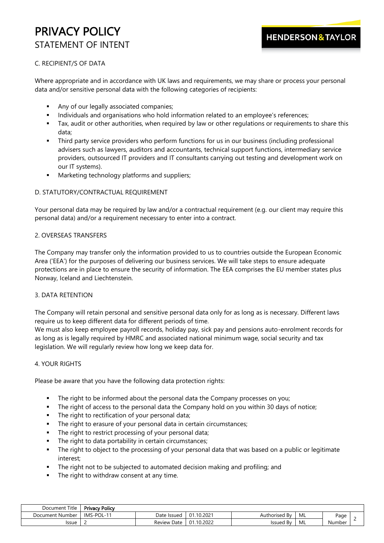# PRIVACY POLICY STATEMENT OF INTENT

# C. RECIPIENT/S OF DATA

Where appropriate and in accordance with UK laws and requirements, we may share or process your personal data and/or sensitive personal data with the following categories of recipients:

- Any of our legally associated companies;
- **■** Individuals and organisations who hold information related to an employee's references;
- Tax, audit or other authorities, when required by law or other regulations or requirements to share this data;
- Third party service providers who perform functions for us in our business (including professional advisers such as lawyers, auditors and accountants, technical support functions, intermediary service providers, outsourced IT providers and IT consultants carrying out testing and development work on our IT systems).
- Marketing technology platforms and suppliers;

## D. STATUTORY/CONTRACTUAL REQUIREMENT

Your personal data may be required by law and/or a contractual requirement (e.g. our client may require this personal data) and/or a requirement necessary to enter into a contract.

## 2. OVERSEAS TRANSFERS

The Company may transfer only the information provided to us to countries outside the European Economic Area ('EEA') for the purposes of delivering our business services. We will take steps to ensure adequate protections are in place to ensure the security of information. The EEA comprises the EU member states plus Norway, Iceland and Liechtenstein.

### 3. DATA RETENTION

The Company will retain personal and sensitive personal data only for as long as is necessary. Different laws require us to keep different data for different periods of time.

We must also keep employee payroll records, holiday pay, sick pay and pensions auto-enrolment records for as long as is legally required by HMRC and associated national minimum wage, social security and tax legislation. We will regularly review how long we keep data for.

### 4. YOUR RIGHTS

Please be aware that you have the following data protection rights:

- **·** The right to be informed about the personal data the Company processes on you;
- **•** The right of access to the personal data the Company hold on you within 30 days of notice;
- The right to rectification of your personal data;
- **•** The right to erasure of your personal data in certain circumstances;
- **·** The right to restrict processing of your personal data;
- The right to data portability in certain circumstances;
- **·** The right to object to the processing of your personal data that was based on a public or legitimate interest;
- The right not to be subjected to automated decision making and profiling; and
- The right to withdraw consent at any time.

| Title<br>Document | Privacy<br>v Policv   |                   |                |                       |    |        |  |
|-------------------|-----------------------|-------------------|----------------|-----------------------|----|--------|--|
| Document Number   | <b>IMS</b><br>S-POL-1 | Date<br>elssued ? | .10.2021<br>01 | -<br>Authorised<br>Bv | ML | Page   |  |
| Issue             |                       | Review<br>Date    | 10.2022<br>01  | -<br>Issued<br>Bv     | ML | Number |  |